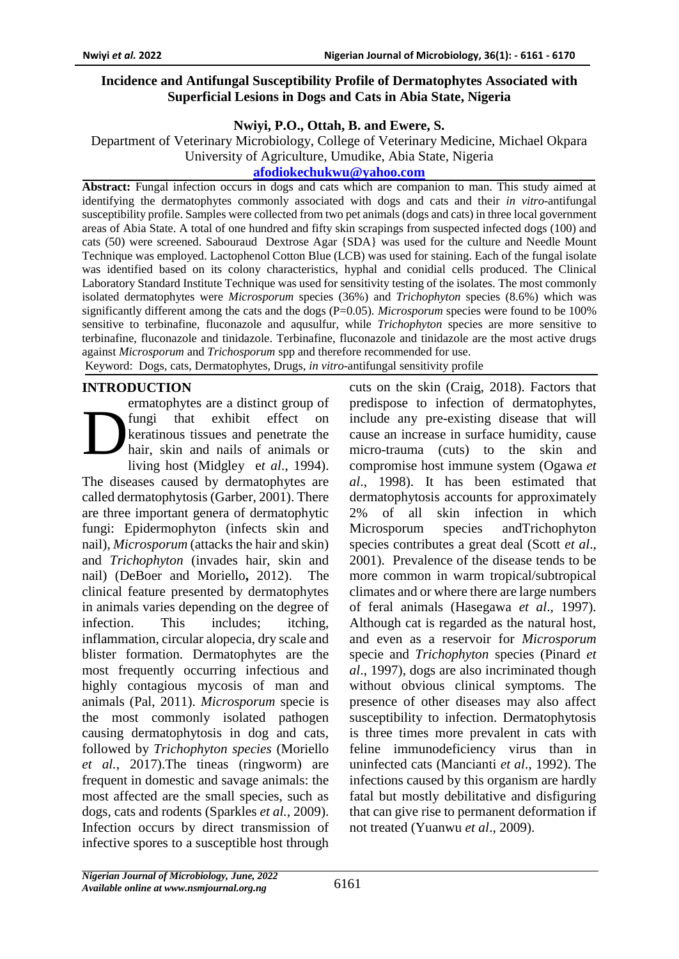### **Incidence and Antifungal Susceptibility Profile of Dermatophytes Associated with Superficial Lesions in Dogs and Cats in Abia State, Nigeria**

**Nwiyi, P.O., Ottah, B. and Ewere, S.**

Department of Veterinary Microbiology, College of Veterinary Medicine, Michael Okpara

University of Agriculture, Umudike, Abia State, Nigeria

**[afodiokechukwu@yahoo.com](mailto:afodiokechukwu@yahoo.com)**

**Abstract:** Fungal infection occurs in dogs and cats which are companion to man. This study aimed at identifying the dermatophytes commonly associated with dogs and cats and their *in vitro*-antifungal susceptibility profile. Samples were collected from two pet animals (dogs and cats) in three local government areas of Abia State. A total of one hundred and fifty skin scrapings from suspected infected dogs (100) and cats (50) were screened. Sabouraud Dextrose Agar {SDA} was used for the culture and Needle Mount Technique was employed. Lactophenol Cotton Blue (LCB) was used for staining. Each of the fungal isolate was identified based on its colony characteristics, hyphal and conidial cells produced. The Clinical Laboratory Standard Institute Technique was used for sensitivity testing of the isolates. The most commonly isolated dermatophytes were *Microsporum* species (36%) and *Trichophyton* species (8.6%) which was significantly different among the cats and the dogs (P=0.05). *Microsporum* species were found to be 100% sensitive to terbinafine, fluconazole and aqusulfur, while *Trichophyton* species are more sensitive to terbinafine, fluconazole and tinidazole. Terbinafine, fluconazole and tinidazole are the most active drugs against *Microsporum* and *Trichosporum* spp and therefore recommended for use.

Keyword: Dogs, cats, Dermatophytes, Drugs, *in vitro*-antifungal sensitivity profile

### **INTRODUCTION**

ermatophytes are a distinct group of fungi that exhibit effect on keratinous tissues and penetrate the hair, skin and nails of animals or living host (Midgley e*t al*., 1994). The diseases caused by dermatophytes are called dermatophytosis (Garber, 2001). There are three important genera of dermatophytic fungi: Epidermophyton (infects skin and nail), *Microsporum* (attacks the hair and skin) and *Trichophyton* (invades hair, skin and nail) (DeBoer and Moriello**,** 2012). The clinical feature presented by dermatophytes in animals varies depending on the degree of infection. This includes; itching, inflammation, circular alopecia, dry scale and blister formation. Dermatophytes are the most frequently occurring infectious and highly contagious mycosis of man and animals (Pal, 2011). *Microsporum* specie is the most commonly isolated pathogen causing dermatophytosis in dog and cats, followed by *Trichophyton species* (Moriello *et al.*, 2017).The tineas (ringworm) are frequent in domestic and savage animals: the most affected are the small species, such as dogs, cats and rodents (Sparkles *et al.,* 2009). Infection occurs by direct transmission of infective spores to a susceptible host through D

cuts on the skin (Craig, 2018). Factors that predispose to infection of dermatophytes, include any pre-existing disease that will cause an increase in surface humidity, cause micro-trauma (cuts) to the skin and compromise host immune system (Ogawa *et al*., 1998). It has been estimated that dermatophytosis accounts for approximately 2% of all skin infection in which Microsporum species andTrichophyton species contributes a great deal (Scott *et al*., 2001). Prevalence of the disease tends to be more common in warm tropical/subtropical climates and or where there are large numbers of feral animals (Hasegawa *et al*., 1997). Although cat is regarded as the natural host, and even as a reservoir for *Microsporum* specie and *Trichophyton* species (Pinard *et al*., 1997), dogs are also incriminated though without obvious clinical symptoms. The presence of other diseases may also affect susceptibility to infection. Dermatophytosis is three times more prevalent in cats with feline immunodeficiency virus than in uninfected cats (Mancianti *et al*., 1992). The infections caused by this organism are hardly fatal but mostly debilitative and disfiguring that can give rise to permanent deformation if not treated (Yuanwu *et al*., 2009).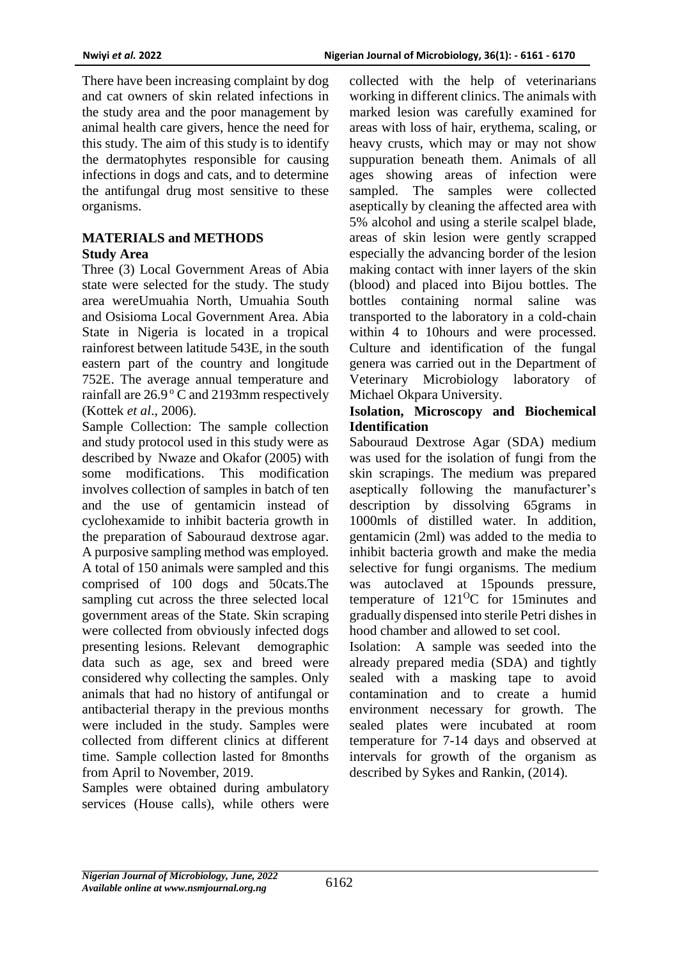There have been increasing complaint by dog and cat owners of skin related infections in the study area and the poor management by animal health care givers, hence the need for this study. The aim of this study is to identify the dermatophytes responsible for causing infections in dogs and cats, and to determine the antifungal drug most sensitive to these organisms.

## **MATERIALS and METHODS Study Area**

Three (3) Local Government Areas of Abia state were selected for the study. The study area wereUmuahia North, Umuahia South and Osisioma Local Government Area. Abia State in Nigeria is located in a tropical rainforest between latitude 543E, in the south eastern part of the country and longitude 752E. The average annual temperature and rainfall are  $26.9^{\circ}$  C and  $2193$ mm respectively (Kottek *et al*., 2006).

Sample Collection: The sample collection and study protocol used in this study were as described by Nwaze and Okafor (2005) with some modifications. This modification involves collection of samples in batch of ten and the use of gentamicin instead of cyclohexamide to inhibit bacteria growth in the preparation of Sabouraud dextrose agar. A purposive sampling method was employed. A total of 150 animals were sampled and this comprised of 100 dogs and 50cats.The sampling cut across the three selected local government areas of the State. Skin scraping were collected from obviously infected dogs presenting lesions. Relevant demographic data such as age, sex and breed were considered why collecting the samples. Only animals that had no history of antifungal or antibacterial therapy in the previous months were included in the study. Samples were collected from different clinics at different time. Sample collection lasted for 8months from April to November, 2019.

Samples were obtained during ambulatory services (House calls), while others were

collected with the help of veterinarians working in different clinics. The animals with marked lesion was carefully examined for areas with loss of hair, erythema, scaling, or heavy crusts, which may or may not show suppuration beneath them. Animals of all ages showing areas of infection were sampled. The samples were collected aseptically by cleaning the affected area with 5% alcohol and using a sterile scalpel blade, areas of skin lesion were gently scrapped especially the advancing border of the lesion making contact with inner layers of the skin (blood) and placed into Bijou bottles. The bottles containing normal saline was transported to the laboratory in a cold-chain within 4 to 10hours and were processed. Culture and identification of the fungal genera was carried out in the Department of Veterinary Microbiology laboratory of Michael Okpara University.

# **Isolation, Microscopy and Biochemical Identification**

Sabouraud Dextrose Agar (SDA) medium was used for the isolation of fungi from the skin scrapings. The medium was prepared aseptically following the manufacturer's description by dissolving 65grams in 1000mls of distilled water. In addition, gentamicin (2ml) was added to the media to inhibit bacteria growth and make the media selective for fungi organisms. The medium was autoclaved at 15pounds pressure, temperature of  $121^{\circ}$ C for 15minutes and gradually dispensed into sterile Petri dishes in hood chamber and allowed to set cool.

Isolation: A sample was seeded into the already prepared media (SDA) and tightly sealed with a masking tape to avoid contamination and to create a humid environment necessary for growth. The sealed plates were incubated at room temperature for 7-14 days and observed at intervals for growth of the organism as described by Sykes and Rankin, (2014).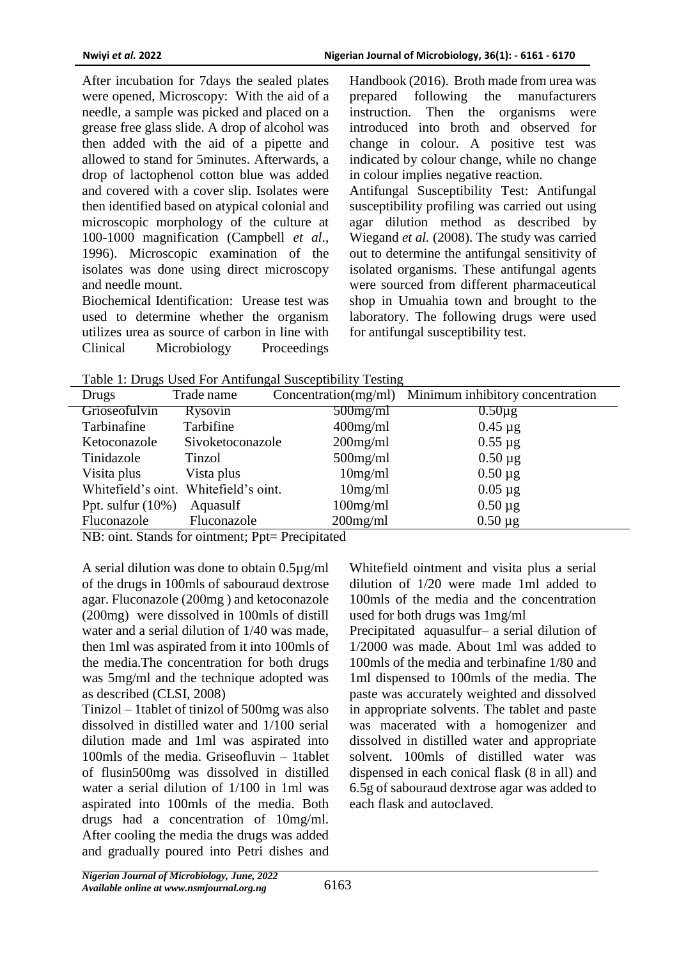After incubation for 7days the sealed plates were opened, Microscopy: With the aid of a needle, a sample was picked and placed on a grease free glass slide. A drop of alcohol was then added with the aid of a pipette and allowed to stand for 5minutes. Afterwards, a drop of lactophenol cotton blue was added and covered with a cover slip. Isolates were then identified based on atypical colonial and microscopic morphology of the culture at 100-1000 magnification (Campbell *et al*., 1996). Microscopic examination of the isolates was done using direct microscopy and needle mount.

Biochemical Identification: Urease test was used to determine whether the organism utilizes urea as source of carbon in line with Clinical Microbiology Proceedings

Handbook (2016). Broth made from urea was prepared following the manufacturers instruction. Then the organisms were introduced into broth and observed for change in colour. A positive test was indicated by colour change, while no change in colour implies negative reaction.

Antifungal Susceptibility Test: Antifungal susceptibility profiling was carried out using agar dilution method as described by Wiegand *et al.* (2008). The study was carried out to determine the antifungal sensitivity of isolated organisms. These antifungal agents were sourced from different pharmaceutical shop in Umuahia town and brought to the laboratory. The following drugs were used for antifungal susceptibility test.

| Table 1. Drugs Osca For Anthungal Susceptibility Testing |                                       |             |                                                         |  |  |  |
|----------------------------------------------------------|---------------------------------------|-------------|---------------------------------------------------------|--|--|--|
| Drugs                                                    | Trade name                            |             | $Concentration(mg/ml)$ Minimum inhibitory concentration |  |  |  |
| Grioseofulvin                                            | <b>Rysovin</b>                        | $500$ mg/ml | $0.50\mug$                                              |  |  |  |
| Tarbinafine                                              | Tarbifine                             | $400$ mg/ml | $0.45 \mu$ g                                            |  |  |  |
| Ketoconazole                                             | Sivoketoconazole                      | $200$ mg/ml | $0.55 \mu$ g                                            |  |  |  |
| Tinidazole                                               | Tinzol                                | $500$ mg/ml | $0.50 \mu$ g                                            |  |  |  |
| Visita plus                                              | Vista plus                            | 10mg/ml     | $0.50 \mu$ g                                            |  |  |  |
|                                                          | Whitefield's oint. Whitefield's oint. | 10mg/ml     | $0.05 \mu$ g                                            |  |  |  |
| Ppt. sulfur $(10\%)$                                     | Aquasulf                              | $100$ mg/ml | $0.50 \mu$ g                                            |  |  |  |
| Fluconazole                                              | Fluconazole                           | $200$ mg/ml | $0.50 \mu$ g                                            |  |  |  |

Table 1: Drugs Used For Antifungal Susceptibility Testing

NB: oint. Stands for ointment; Ppt= Precipitated

A serial dilution was done to obtain 0.5µg/ml of the drugs in 100mls of sabouraud dextrose agar. Fluconazole (200mg ) and ketoconazole (200mg) were dissolved in 100mls of distill water and a serial dilution of 1/40 was made, then 1ml was aspirated from it into 100mls of the media.The concentration for both drugs was 5mg/ml and the technique adopted was as described (CLSI, 2008)

Tinizol – 1tablet of tinizol of 500mg was also dissolved in distilled water and 1/100 serial dilution made and 1ml was aspirated into 100mls of the media. Griseofluvin – 1tablet of flusin500mg was dissolved in distilled water a serial dilution of 1/100 in 1ml was aspirated into 100mls of the media. Both drugs had a concentration of 10mg/ml. After cooling the media the drugs was added and gradually poured into Petri dishes and

Whitefield ointment and visita plus a serial dilution of 1/20 were made 1ml added to 100mls of the media and the concentration used for both drugs was 1mg/ml

Precipitated aquasulfur– a serial dilution of 1/2000 was made. About 1ml was added to 100mls of the media and terbinafine 1/80 and 1ml dispensed to 100mls of the media. The paste was accurately weighted and dissolved in appropriate solvents. The tablet and paste was macerated with a homogenizer and dissolved in distilled water and appropriate solvent. 100mls of distilled water was dispensed in each conical flask (8 in all) and 6.5g of sabouraud dextrose agar was added to each flask and autoclaved.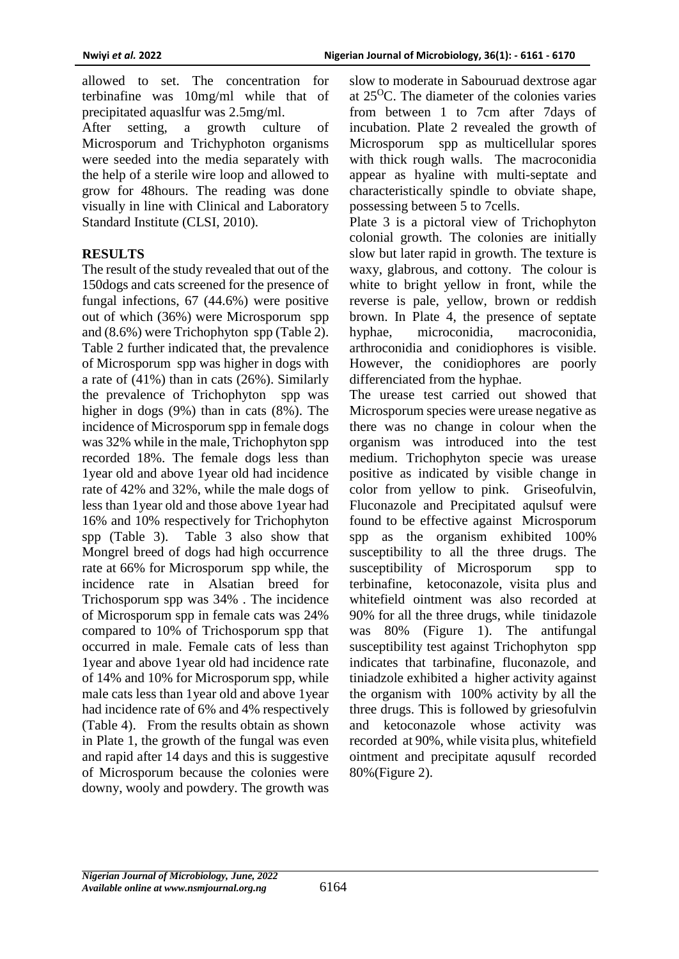allowed to set. The concentration for terbinafine was 10mg/ml while that of precipitated aquaslfur was 2.5mg/ml.

After setting, a growth culture of Microsporum and Trichyphoton organisms were seeded into the media separately with the help of a sterile wire loop and allowed to grow for 48hours. The reading was done visually in line with Clinical and Laboratory Standard Institute (CLSI, 2010).

# **RESULTS**

The result of the study revealed that out of the 150dogs and cats screened for the presence of fungal infections, 67 (44.6%) were positive out of which (36%) were Microsporum spp and (8.6%) were Trichophyton spp (Table 2). Table 2 further indicated that, the prevalence of Microsporum spp was higher in dogs with a rate of (41%) than in cats (26%). Similarly the prevalence of Trichophyton spp was higher in dogs (9%) than in cats (8%). The incidence of Microsporum spp in female dogs was 32% while in the male, Trichophyton spp recorded 18%. The female dogs less than 1year old and above 1year old had incidence rate of 42% and 32%, while the male dogs of less than 1year old and those above 1year had 16% and 10% respectively for Trichophyton spp (Table 3). Table 3 also show that Mongrel breed of dogs had high occurrence rate at 66% for Microsporum spp while, the incidence rate in Alsatian breed for Trichosporum spp was 34% . The incidence of Microsporum spp in female cats was 24% compared to 10% of Trichosporum spp that occurred in male. Female cats of less than 1year and above 1year old had incidence rate of 14% and 10% for Microsporum spp, while male cats less than 1year old and above 1year had incidence rate of 6% and 4% respectively (Table 4). From the results obtain as shown in Plate 1, the growth of the fungal was even and rapid after 14 days and this is suggestive of Microsporum because the colonies were downy, wooly and powdery. The growth was

slow to moderate in Sabouruad dextrose agar at  $25^{\circ}$ C. The diameter of the colonies varies from between 1 to 7cm after 7days of incubation. Plate 2 revealed the growth of Microsporum spp as multicellular spores with thick rough walls. The macroconidia appear as hyaline with multi-septate and characteristically spindle to obviate shape, possessing between 5 to 7cells.

Plate 3 is a pictoral view of Trichophyton colonial growth. The colonies are initially slow but later rapid in growth. The texture is waxy, glabrous, and cottony. The colour is white to bright yellow in front, while the reverse is pale, yellow, brown or reddish brown. In Plate 4, the presence of septate hyphae, microconidia, macroconidia, arthroconidia and conidiophores is visible. However, the conidiophores are poorly differenciated from the hyphae.

The urease test carried out showed that Microsporum species were urease negative as there was no change in colour when the organism was introduced into the test medium. Trichophyton specie was urease positive as indicated by visible change in color from yellow to pink. Griseofulvin, Fluconazole and Precipitated aqulsuf were found to be effective against Microsporum spp as the organism exhibited 100% susceptibility to all the three drugs. The susceptibility of Microsporum spp to terbinafine, ketoconazole, visita plus and whitefield ointment was also recorded at 90% for all the three drugs, while tinidazole was 80% (Figure 1). The antifungal susceptibility test against Trichophyton spp indicates that tarbinafine, fluconazole, and tiniadzole exhibited a higher activity against the organism with 100% activity by all the three drugs. This is followed by griesofulvin and ketoconazole whose activity was recorded at 90%, while visita plus, whitefield ointment and precipitate aqusulf recorded 80%(Figure 2).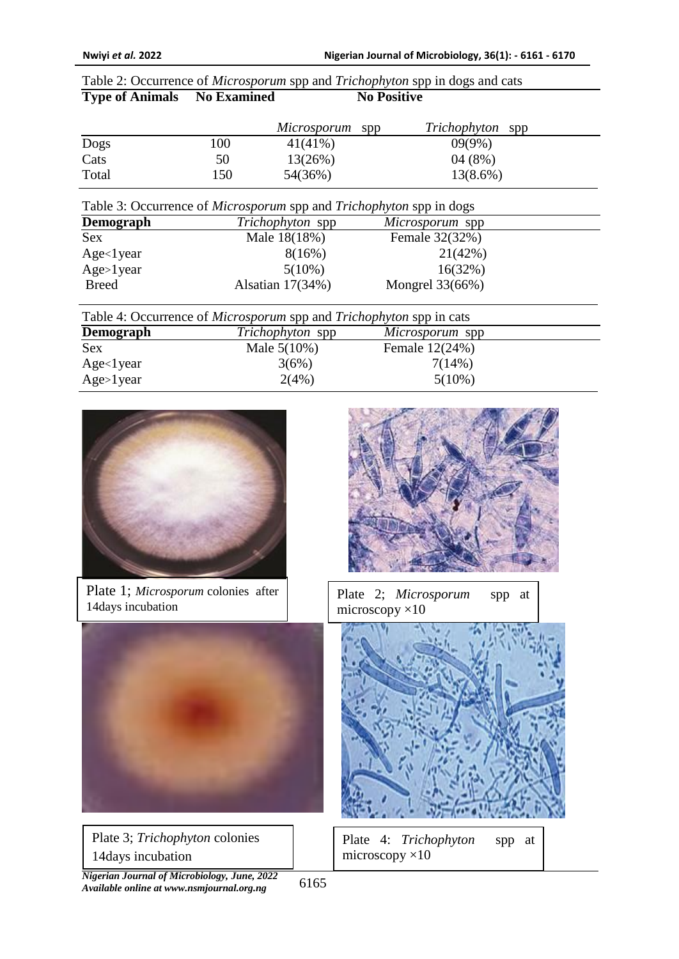|                                    |                    |                    | Table 2: Occurrence of <i>Microsporum</i> spp and <i>Trichophyton</i> spp in dogs and cats |     |
|------------------------------------|--------------------|--------------------|--------------------------------------------------------------------------------------------|-----|
| <b>Type of Animals</b> No Examined |                    | <b>No Positive</b> |                                                                                            |     |
|                                    |                    | Microsporum        | Trichophyton<br>spp                                                                        | spp |
| Dogs                               | 100                | 41(41%)            | $09(9\%)$                                                                                  |     |
| Cats                               | 50                 | 13(26%)            | 04(8%)                                                                                     |     |
| Total                              | 150                | 54(36%)            | $13(8.6\%)$                                                                                |     |
|                                    |                    |                    | Table 3: Occurrence of <i>Microsporum</i> spp and <i>Trichophyton</i> spp in dogs          |     |
| Demograph                          | Trichophyton spp   |                    | Microsporum spp                                                                            |     |
| Sex                                | Male 18(18%)       |                    | Female 32(32%)                                                                             |     |
| Age < 1 year                       | 8(16%)             |                    | 21(42%)                                                                                    |     |
| $Age > 1$ year                     | $5(10\%)$          |                    | 16(32%)                                                                                    |     |
| <b>Breed</b>                       | Alsatian $17(34%)$ |                    | Mongrel 33(66%)                                                                            |     |
|                                    |                    |                    | Table 4: Occurrence of <i>Microsporum</i> spp and <i>Trichophyton</i> spp in cats          |     |
| Demograph                          |                    | Trichophyton spp   | Microsporum spp                                                                            |     |
| <b>Sex</b>                         |                    | Male $5(10%)$      | Female 12(24%)                                                                             |     |
| Age <sub>1</sub> year              |                    | 3(6%)              | 7(14%)                                                                                     |     |

Age>1year  $2(4\%)$  5(10%)



Plate 1; *Microsporum* colonies after 14days incubation



14days incubation

*Nigerian Journal of Microbiology, June, 2022 Available online at www.nsmjournal.org.ng*

6165



Plate 2; *Microsporum* spp at microscopy ×10



Plate 3; *Trichophyton* colonies <br>
Plate 4: *Trichophyton* spp at microscopy ×10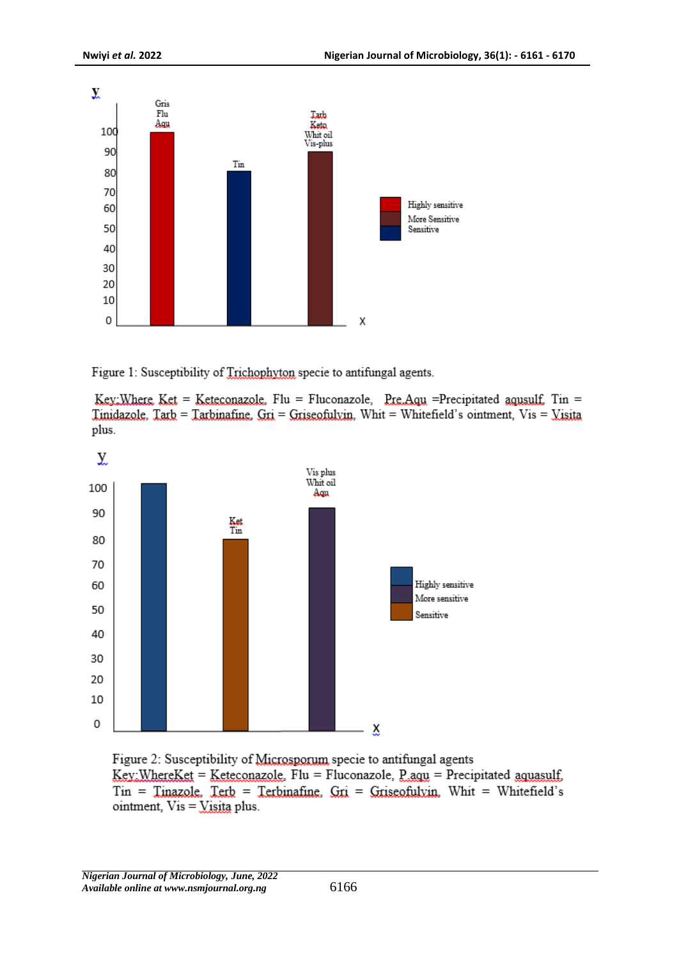

Figure 1: Susceptibility of Trichophyton specie to antifungal agents.

<u>Key: Where Ket</u> = Keteconazole. Flu = Fluconazole. Pre.Agu = Precipitated agusulf. Tin = Tinidazole. Tarb = Tarbinafine.  $Gri = Griseofulyin$ . Whit = Whitefield's ointment. Vis = Visita plus.



Figure 2: Susceptibility of Microsporum specie to antifungal agents  $Key:WhereKet = Keteconazole$ . Flu = Fluconazole,  $P\text{.agu}$  = Precipitated aquasulf.  $\text{Tim} = \text{Tanazole}$ ,  $\text{Terb} = \text{Terbinafine}$ ,  $\text{Gri} = \text{Griscofulvin}$ , Whit = Whitefield's ointment,  $Vis = Visita$  plus.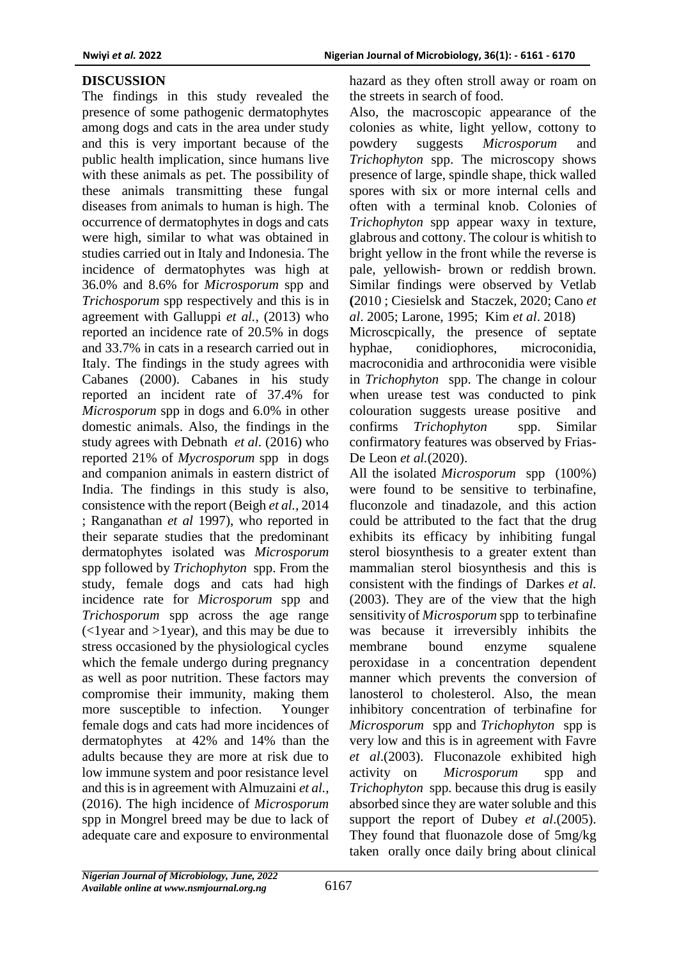### **DISCUSSION**

The findings in this study revealed the presence of some pathogenic dermatophytes among dogs and cats in the area under study and this is very important because of the public health implication, since humans live with these animals as pet. The possibility of these animals transmitting these fungal diseases from animals to human is high. The occurrence of dermatophytes in dogs and cats were high, similar to what was obtained in studies carried out in Italy and Indonesia. The incidence of dermatophytes was high at 36.0% and 8.6% for *Microsporum* spp and *Trichosporum* spp respectively and this is in agreement with Galluppi *et al.,* (2013) who reported an incidence rate of 20.5% in dogs and 33.7% in cats in a research carried out in Italy. The findings in the study agrees with Cabanes (2000). Cabanes in his study reported an incident rate of 37.4% for *Microsporum* spp in dogs and 6.0% in other domestic animals. Also, the findings in the study agrees with Debnath *et al.* (2016) who reported 21% of *Mycrosporum* spp in dogs and companion animals in eastern district of India. The findings in this study is also, consistence with the report (Beigh *et al.,* 2014 ; Ranganathan *et al* 1997), who reported in their separate studies that the predominant dermatophytes isolated was *Microsporum* spp followed by *Trichophyton* spp. From the study, female dogs and cats had high incidence rate for *Microsporum* spp and *Trichosporum* spp across the age range  $\ll 1$  year and  $> 1$  year), and this may be due to stress occasioned by the physiological cycles which the female undergo during pregnancy as well as poor nutrition. These factors may compromise their immunity, making them more susceptible to infection. Younger female dogs and cats had more incidences of dermatophytes at 42% and 14% than the adults because they are more at risk due to low immune system and poor resistance level and this is in agreement with Almuzaini *et al.,*  (2016). The high incidence of *Microsporum* spp in Mongrel breed may be due to lack of adequate care and exposure to environmental

hazard as they often stroll away or roam on the streets in search of food.

Also, the macroscopic appearance of the colonies as white, light yellow, cottony to powdery suggests *Microsporum* and *Trichophyton* spp. The microscopy shows presence of large, spindle shape, thick walled spores with six or more internal cells and often with a terminal knob. Colonies of *Trichophyton* spp appear waxy in texture, glabrous and cottony. The colour is whitish to bright yellow in the front while the reverse is pale, yellowish- brown or reddish brown. Similar findings were observed by Vetlab **(**2010 ; Ciesielsk and Staczek, 2020; Cano *et al*. 2005; Larone, 1995; Kim *et al*. 2018)

Microscpically, the presence of septate hyphae, conidiophores, microconidia, macroconidia and arthroconidia were visible in *Trichophyton* spp. The change in colour when urease test was conducted to pink colouration suggests urease positive and confirms *Trichophyton* spp. Similar confirmatory features was observed by Frias-De Leon *et al.*(2020).

All the isolated *Microsporum* spp (100%) were found to be sensitive to terbinafine, fluconzole and tinadazole, and this action could be attributed to the fact that the drug exhibits its efficacy by inhibiting fungal sterol biosynthesis to a greater extent than mammalian sterol biosynthesis and this is consistent with the findings of Darkes *et al.* (2003). They are of the view that the high sensitivity of *Microsporum* sppto terbinafine was because it irreversibly inhibits the membrane bound enzyme squalene peroxidase in a concentration dependent manner which prevents the conversion of lanosterol to cholesterol. Also, the mean inhibitory concentration of terbinafine for *Microsporum* spp and *Trichophyton* spp is very low and this is in agreement with Favre *et al*.(2003). Fluconazole exhibited high activity on *Microsporum* spp and *Trichophyton* spp*.* because this drug is easily absorbed since they are water soluble and this support the report of Dubey *et al*.(2005). They found that fluonazole dose of 5mg/kg taken orally once daily bring about clinical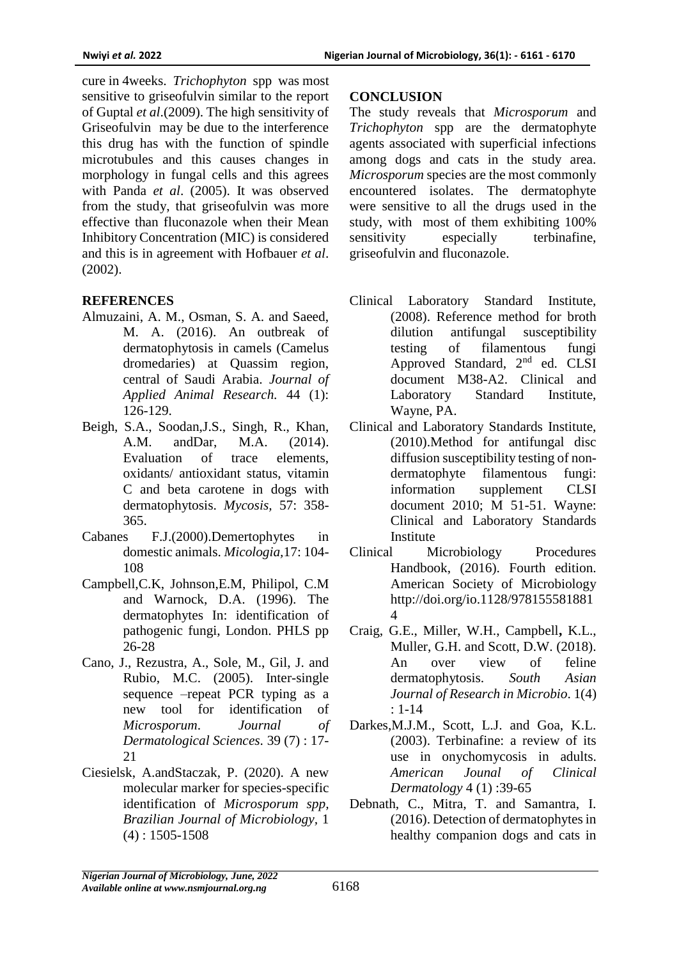cure in 4weeks. *Trichophyton* spp was most sensitive to griseofulvin similar to the report of Guptal *et al*.(2009). The high sensitivity of Griseofulvin may be due to the interference this drug has with the function of spindle microtubules and this causes changes in morphology in fungal cells and this agrees with Panda *et al*. (2005). It was observed from the study, that griseofulvin was more effective than fluconazole when their Mean Inhibitory Concentration (MIC) is considered and this is in agreement with Hofbauer *et al*. (2002).

### **REFERENCES**

- Almuzaini, A. M., Osman, S. A. and Saeed, M. A. (2016). An outbreak of dermatophytosis in camels (Camelus dromedaries) at Quassim region, central of Saudi Arabia. *Journal of Applied Animal Research.* 44 (1): 126-129.
- Beigh, S.A., Soodan,J.S., Singh, R., Khan, A.M. andDar, M.A. (2014). Evaluation of trace elements, oxidants/ antioxidant status, vitamin C and beta carotene in dogs with dermatophytosis. *Mycosis,* 57: 358- 365.
- Cabanes F.J.(2000).Demertophytes in domestic animals. *Micologia,*17: 104- 108
- Campbell,C.K, Johnson,E.M, Philipol, C.M and Warnock, D.A. (1996). The dermatophytes In: identification of pathogenic fungi, London. PHLS pp 26-28
- Cano, J., Rezustra, A., Sole, M., Gil, J. and Rubio, M.C. (2005). Inter-single sequence –repeat PCR typing as a new tool for identification of *Microsporum*. *Journal of Dermatological Sciences.* 39 (7) : 17- 21
- Ciesielsk, A.andStaczak, P. (2020). A new molecular marker for species-specific identification of *Microsporum spp, Brazilian Journal of Microbiology,* 1  $(4)$ : 1505-1508

### **CONCLUSION**

The study reveals that *Microsporum* and *Trichophyton* spp are the dermatophyte agents associated with superficial infections among dogs and cats in the study area. *Microsporum* species are the most commonly encountered isolates. The dermatophyte were sensitive to all the drugs used in the study, with most of them exhibiting 100% sensitivity especially terbinafine, griseofulvin and fluconazole.

- Clinical Laboratory Standard Institute, (2008). Reference method for broth dilution antifungal susceptibility testing of filamentous fungi Approved Standard, 2nd ed. CLSI document M38-A2. Clinical and Laboratory Standard Institute, Wayne, PA.
- Clinical and Laboratory Standards Institute, (2010).Method for antifungal disc diffusion susceptibility testing of nondermatophyte filamentous fungi: information supplement CLSI document 2010; M 51-51. Wayne: Clinical and Laboratory Standards Institute
- Clinical Microbiology Procedures Handbook, (2016). Fourth edition. American Society of Microbiology http://doi.org/io.1128/978155581881 4
- Craig, G.E., Miller, W.H., Campbell**,** K.L., Muller, G.H. and Scott, D.W. (2018). An over view of feline dermatophytosis. *South Asian Journal of Research in Microbio*. 1(4) : 1-14
- Darkes,M.J.M., Scott, L.J. and Goa, K.L. (2003). Terbinafine: a review of its use in onychomycosis in adults. *American Jounal of Clinical Dermatology* 4 (1) :39-65
- Debnath, C., Mitra, T. and Samantra, I. (2016). Detection of dermatophytes in healthy companion dogs and cats in

*Nigerian Journal of Microbiology, June, 2022 Available online at www.nsmjournal.org.ng*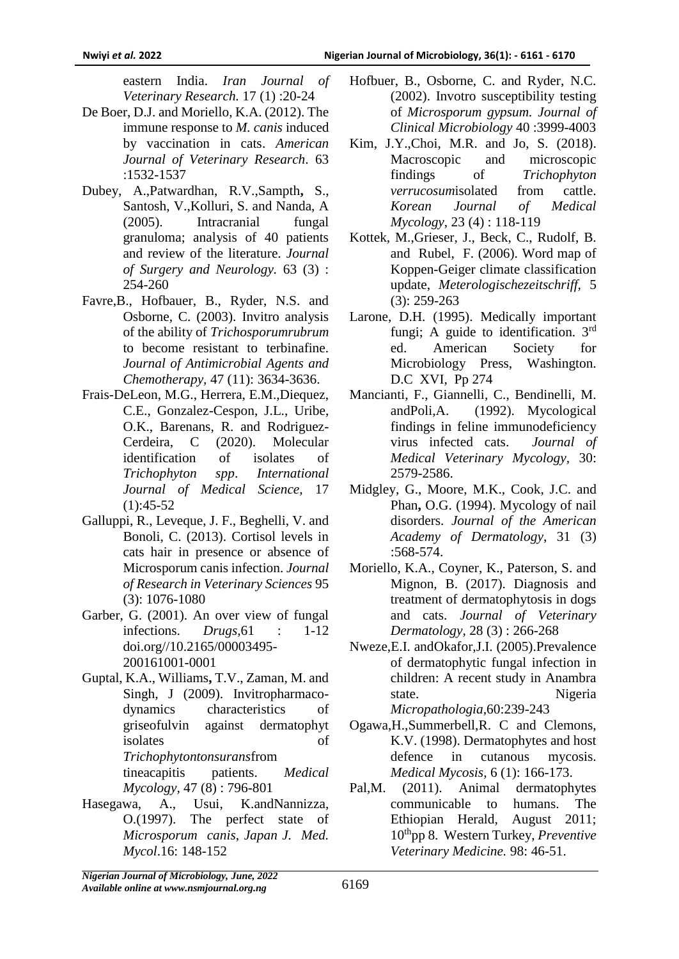- De Boer, D.J. and Moriello, K.A. (2012). The immune response to *M. canis* induced by vaccination in cats. *American Journal of Veterinary Research*. 63 :1532-1537
- Dubey, A.,Patwardhan, R.V.,Sampth**,** S., Santosh, V.,Kolluri, S. and Nanda, A (2005). Intracranial fungal granuloma; analysis of 40 patients and review of the literature. *Journal of Surgery and Neurology.* 63 (3) : 254-260
- Favre,B., Hofbauer, B., Ryder, N.S. and Osborne, C. (2003). Invitro analysis of the ability of *Trichosporumrubrum* to become resistant to terbinafine. *Journal of Antimicrobial Agents and Chemotherapy,* 47 (11): 3634-3636.
- Frais-DeLeon, M.G., Herrera, E.M.,Diequez, C.E., Gonzalez-Cespon, J.L., Uribe, O.K., Barenans, R. and Rodriguez-Cerdeira, C (2020). Molecular identification of isolates of *Trichophyton spp*. *International Journal of Medical Science,* 17  $(1):45-52$
- Galluppi, R., Leveque, J. F., Beghelli, V. and Bonoli, C. (2013). Cortisol levels in cats hair in presence or absence of Microsporum canis infection. *Journal of Research in Veterinary Sciences* 95 (3): 1076-1080
- Garber, G. (2001). An over view of fungal infections. *Drugs,*61 : 1-12 doi.org//10.2165/00003495- 200161001-0001
- Guptal, K.A., Williams**,** T.V., Zaman, M. and Singh, J (2009). Invitropharmacodynamics characteristics of griseofulvin against dermatophyt isolates of *Trichophytontonsurans*from tineacapitis patients. *Medical Mycology,* 47 (8) : 796-801
- Hasegawa, A., Usui, K.andNannizza, O.(1997). The perfect state of *Microsporum canis*, *Japan J. Med. Mycol*.16: 148-152
- Hofbuer, B., Osborne, C. and Ryder, N.C. (2002). Invotro susceptibility testing of *Microsporum gypsum. Journal of Clinical Microbiology* 40 :3999-4003
- Kim, J.Y.,Choi, M.R. and Jo, S. (2018). Macroscopic and microscopic findings of *Trichophyton verrucosum*isolated from cattle. *Korean Journal of Medical Mycology*, 23 (4) : 118-119
- Kottek, M.,Grieser, J., Beck, C., Rudolf, B. and Rubel, F. (2006). Word map of Koppen-Geiger climate classification update, *Meterologischezeitschriff,* 5 (3): 259-263
- Larone, D.H. (1995). Medically important fungi; A guide to identification. 3<sup>rd</sup> ed. American Society for Microbiology Press, Washington. D.C XVI, Pp 274
- Mancianti, F., Giannelli, C., Bendinelli, M. andPoli,A. (1992). Mycological findings in feline immunodeficiency virus infected cats. *Journal of Medical Veterinary Mycology,* 30: 2579-2586.
- Midgley, G., Moore, M.K., Cook, J.C. and Phan**,** O.G. (1994). Mycology of nail disorders. *Journal of the American Academy of Dermatology*, 31 (3) :568-574.
- Moriello, K.A., Coyner, K., Paterson, S. and Mignon, B. (2017). Diagnosis and treatment of dermatophytosis in dogs and cats. *Journal of Veterinary Dermatology,* 28 (3) : 266-268
- Nweze,E.I. andOkafor,J.I. (2005).Prevalence of dermatophytic fungal infection in children: A recent study in Anambra state. Nigeria *Micropathologia,*60:239-243
- Ogawa,H.,Summerbell,R. C and Clemons, K.V. (1998). Dermatophytes and host defence in cutanous mycosis. *Medical Mycosis,* 6 (1): 166-173.
- Pal,M. (2011). Animal dermatophytes communicable to humans. The Ethiopian Herald, August 2011; 10thpp 8. Western Turkey, *Preventive Veterinary Medicine.* 98: 46-51.